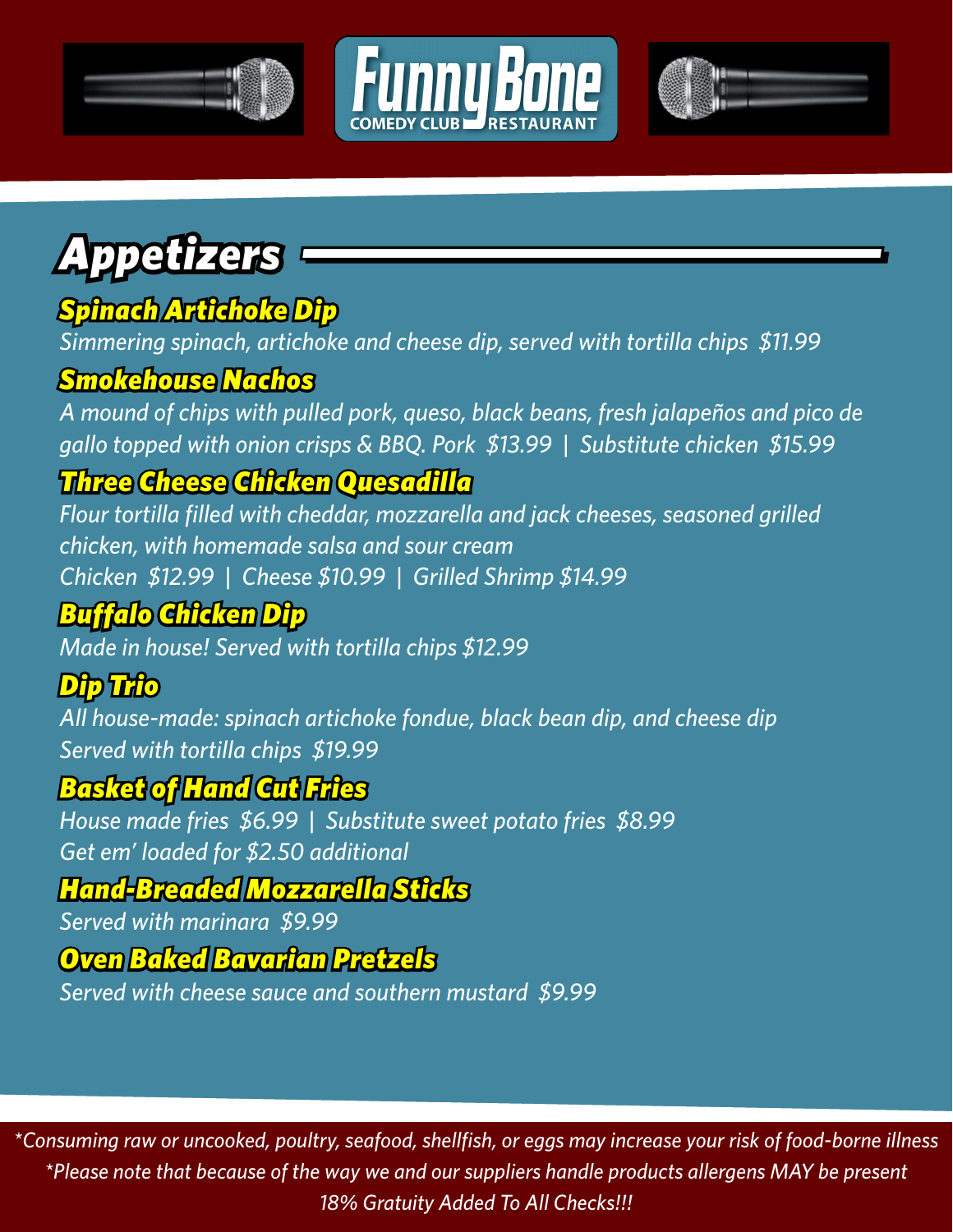



# *Appetizers*

### *Spinach Artichoke Dip*

*Simmering spinach, artichoke and cheese dip, served with tortilla chips \$11.99*

#### *Smokehouse Nachos*

*A mound of chips with pulled pork, queso, black beans, fresh jalapeños and pico de gallo topped with onion crisps & BBQ. Pork \$13.99 | Substitute chicken \$15.99*

### *Three Cheese Chicken Quesadilla*

*Flour tortilla filled with cheddar, mozzarella and jack cheeses, seasoned grilled chicken, with homemade salsa and sour cream Chicken \$12.99 | Cheese \$10.99 | Grilled Shrimp \$14.99*

### *Buffalo Chicken Dip*

*Made in house! Served with tortilla chips \$12.99*

#### *Dip Trio*

*All house-made: spinach artichoke fondue, black bean dip, and cheese dip Served with tortilla chips \$19.99*

#### *Basket of Hand Cut Fries*

*House made fries \$6.99 | Substitute sweet potato fries \$8.99 Get em' loaded for \$2.50 additional*

#### *Hand-Breaded Mozzarella Sticks*

*Served with marinara \$9.99*

#### *Oven Baked Bavarian Pretzels*

*Served with cheese sauce and southern mustard \$9.99*

*\*Consuming raw or uncooked, poultry, seafood, shellfish, or eggs may increase your risk of food-borne illness \*Please note that because of the way we and our suppliers handle products allergens MAY be present 18% Gratuity Added To All Checks!!!*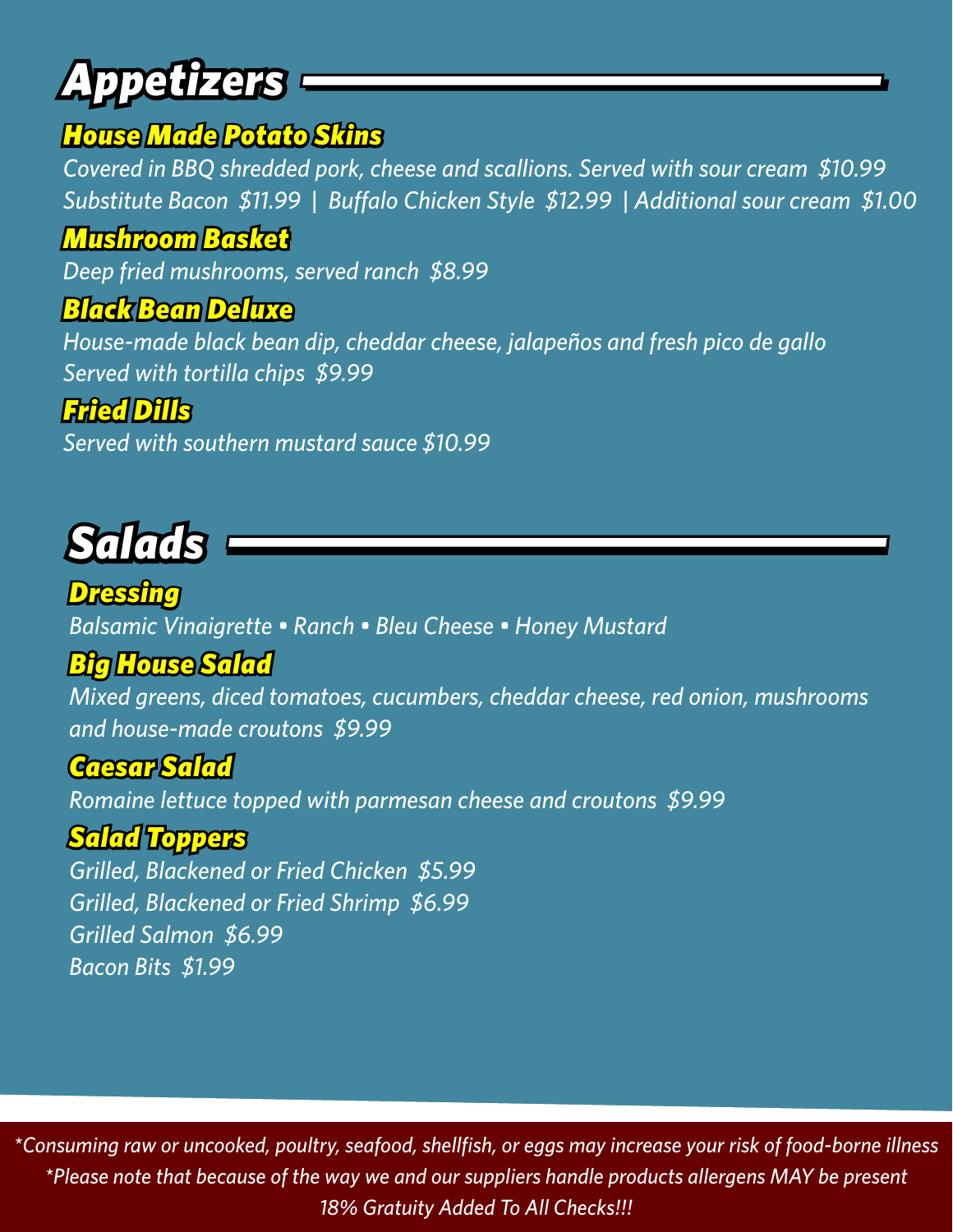# *Appetizers*

#### *House Made Potato Skins*

*Covered in BBQ shredded pork, cheese and scallions. Served with sour cream \$10.99 Substitute Bacon \$11.99 | Buffalo Chicken Style \$12.99 | Additional sour cream \$1.00*

#### *Mushroom Basket*

*Deep fried mushrooms, served ranch \$8.99*

#### *Black Bean Deluxe*

*House-made black bean dip, cheddar cheese, jalapeños and fresh pico de gallo Served with tortilla chips \$9.99*

#### *Fried Dills*

*Served with southern mustard sauce \$10.99*



*Dressing Balsamic Vinaigrette • Ranch • Bleu Cheese • Honey Mustard*

#### *Big House Salad*

*Mixed greens, diced tomatoes, cucumbers, cheddar cheese, red onion, mushrooms and house-made croutons \$9.99*

#### *Caesar Salad*

*Romaine lettuce topped with parmesan cheese and croutons \$9.99*

#### *Salad Toppers*

*Grilled, Blackened or Fried Chicken \$5.99 Grilled, Blackened or Fried Shrimp \$6.99 Grilled Salmon \$6.99 Bacon Bits \$1.99*

*\*Consuming raw or uncooked, poultry, seafood, shellfish, or eggs may increase your risk of food-borne illness \*Please note that because of the way we and our suppliers handle products allergens MAY be present 18% Gratuity Added To All Checks!!!*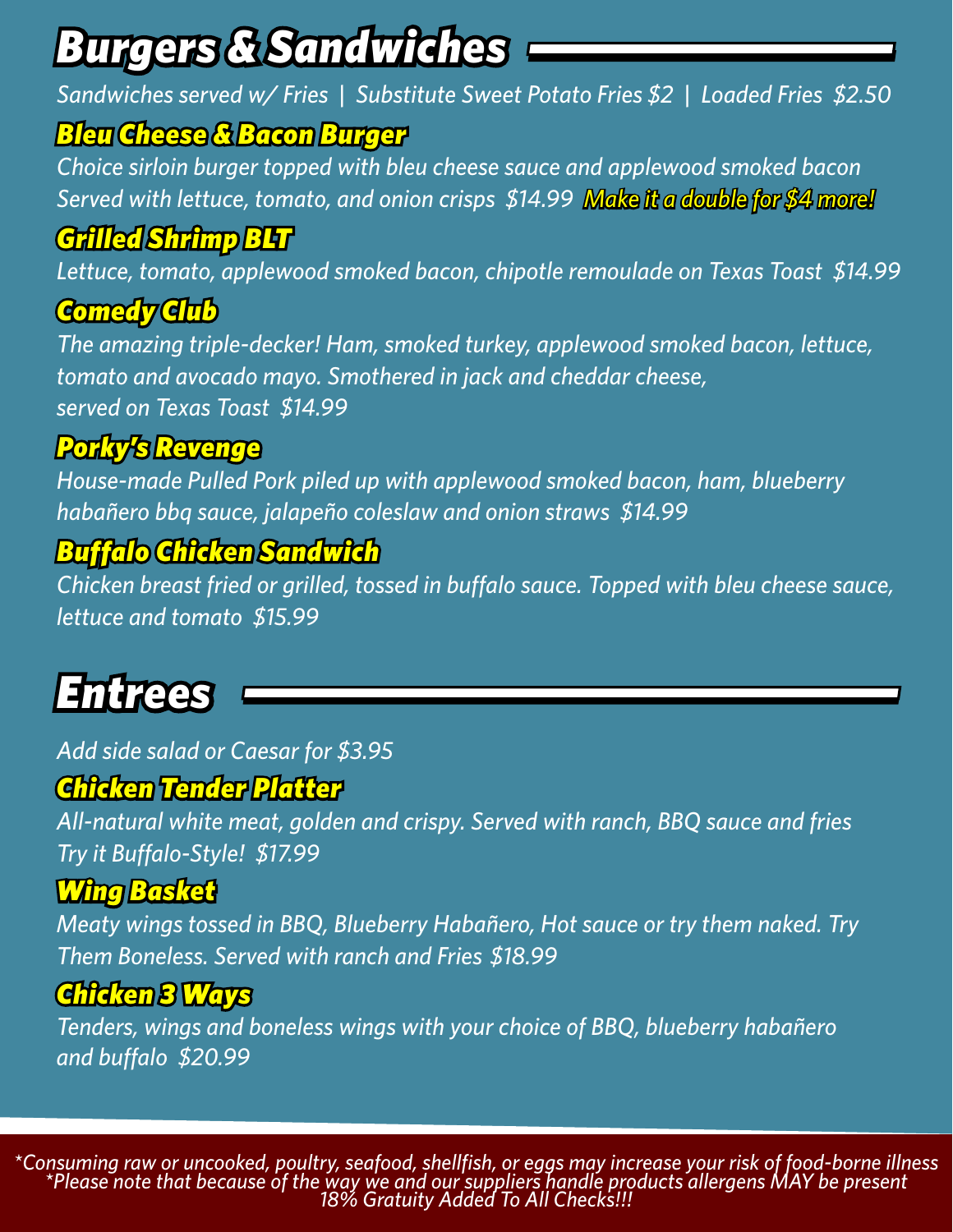## *Burgers & Sandwiches*

*Sandwiches served w/ Fries | Substitute Sweet Potato Fries \$2 | Loaded Fries \$2.50*

#### *Bleu Cheese & Bacon Burger*

*Choice sirloin burger topped with bleu cheese sauce and applewood smoked bacon Served with lettuce, tomato, and onion crisps \$14.99 Make it a double for \$4 more!*

### *Grilled Shrimp BLT*

*Lettuce, tomato, applewood smoked bacon, chipotle remoulade on Texas Toast \$14.99*

### *Comedy Club*

*The amazing triple-decker! Ham, smoked turkey, applewood smoked bacon, lettuce, tomato and avocado mayo. Smothered in jack and cheddar cheese, served on Texas Toast \$14.99*

### *Porky's Revenge*

*House-made Pulled Pork piled up with applewood smoked bacon, ham, blueberry habañero bbq sauce, jalapeño coleslaw and onion straws \$14.99* 

### *Buffalo Chicken Sandwich*

*Chicken breast fried or grilled, tossed in buffalo sauce. Topped with bleu cheese sauce, lettuce and tomato \$15.99*

## *Entrees*

*Add side salad or Caesar for \$3.95*

#### *Chicken Tender Platter*

*All-natural white meat, golden and crispy. Served with ranch, BBQ sauce and fries Try it Buffalo-Style! \$17.99*

### *Wing Basket*

*Meaty wings tossed in BBQ, Blueberry Habañero, Hot sauce or try them naked. Try Them Boneless. Served with ranch and Fries \$18.99*

### *Chicken 3 Ways*

*Tenders, wings and boneless wings with your choice of BBQ, blueberry habañero and buffalo \$20.99*

\*Consuming raw or uncooked, poultry, seafood, shellfish, or eggs may increase your risk of food-borne illness<br>\*Please note that because of the way we and our suppliers handle products allergens MAY be present\*<br>18% Gratuity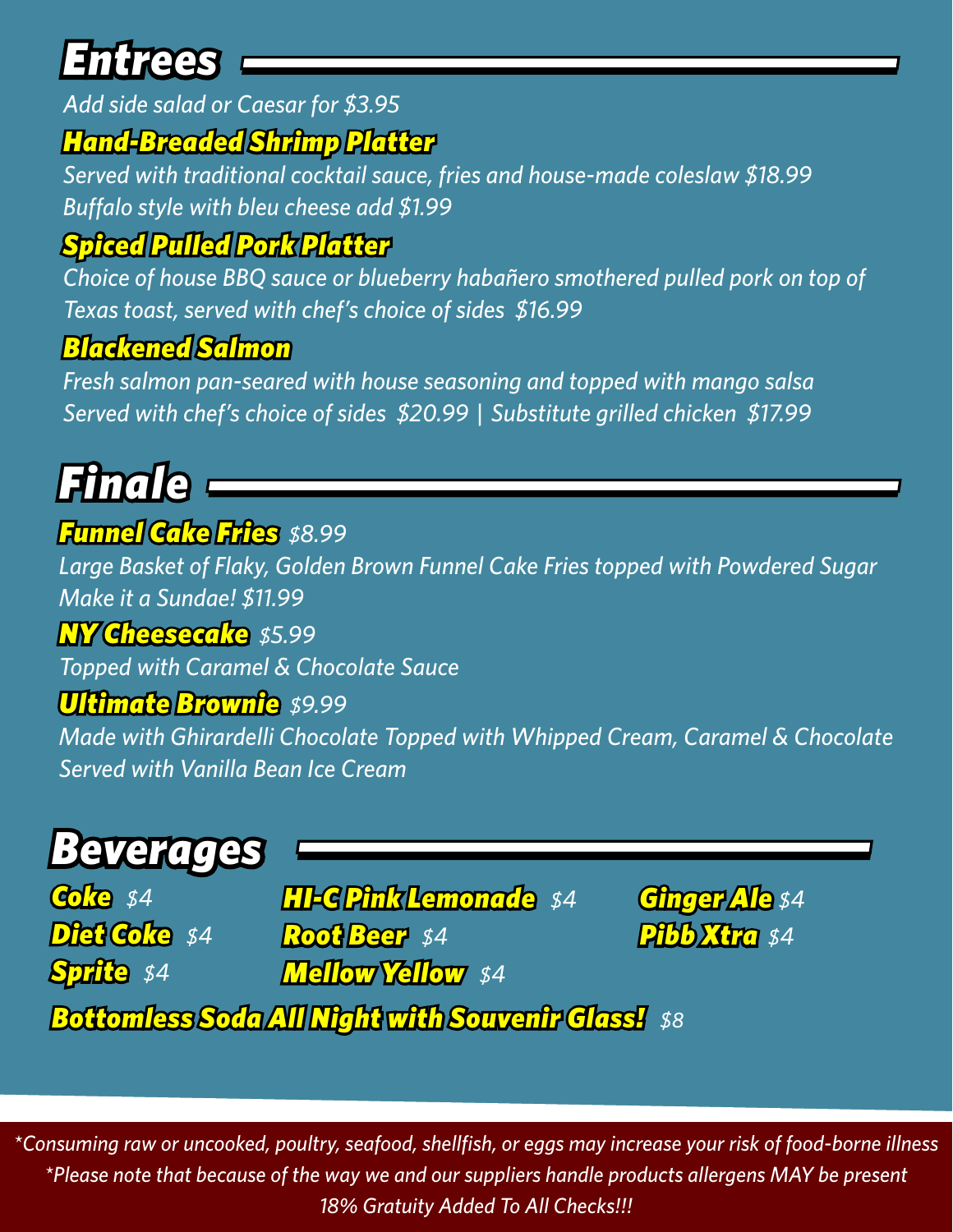## *Entrees*

*Add side salad or Caesar for \$3.95*

### *Hand-Breaded Shrimp Platter*

*Served with traditional cocktail sauce, fries and house-made coleslaw \$18.99 Buffalo style with bleu cheese add \$1.99*

### *Spiced Pulled Pork Platter*

*Choice of house BBQ sauce or blueberry habañero smothered pulled pork on top of Texas toast, served with chef's choice of sides \$16.99*

### *Blackened Salmon*

*Fresh salmon pan-seared with house seasoning and topped with mango salsa Served with chef's choice of sides \$20.99 | Substitute grilled chicken \$17.99*

## *Finale*

#### *Funnel Cake Fries \$8.99*

*Large Basket of Flaky, Golden Brown Funnel Cake Fries topped with Powdered Sugar Make it a Sundae! \$11.99*

#### *NY Cheesecake \$5.99*

*Topped with Caramel & Chocolate Sauce*

#### *Ultimate Brownie \$9.99*

*Made with Ghirardelli Chocolate Topped with Whipped Cream, Caramel & Chocolate Served with Vanilla Bean Ice Cream*

### *Beverages*

*Coke \$4 Diet Coke \$4 Sprite \$4*

*HI-C Pink Lemonade \$4 Root Beer \$4 Mellow Yellow \$4*

*Ginger Ale \$4 Pibb Xtra \$4*

*Bottomless Soda All Night with Souvenir Glass! \$8*

*\*Consuming raw or uncooked, poultry, seafood, shellfish, or eggs may increase your risk of food-borne illness \*Please note that because of the way we and our suppliers handle products allergens MAY be present 18% Gratuity Added To All Checks!!!*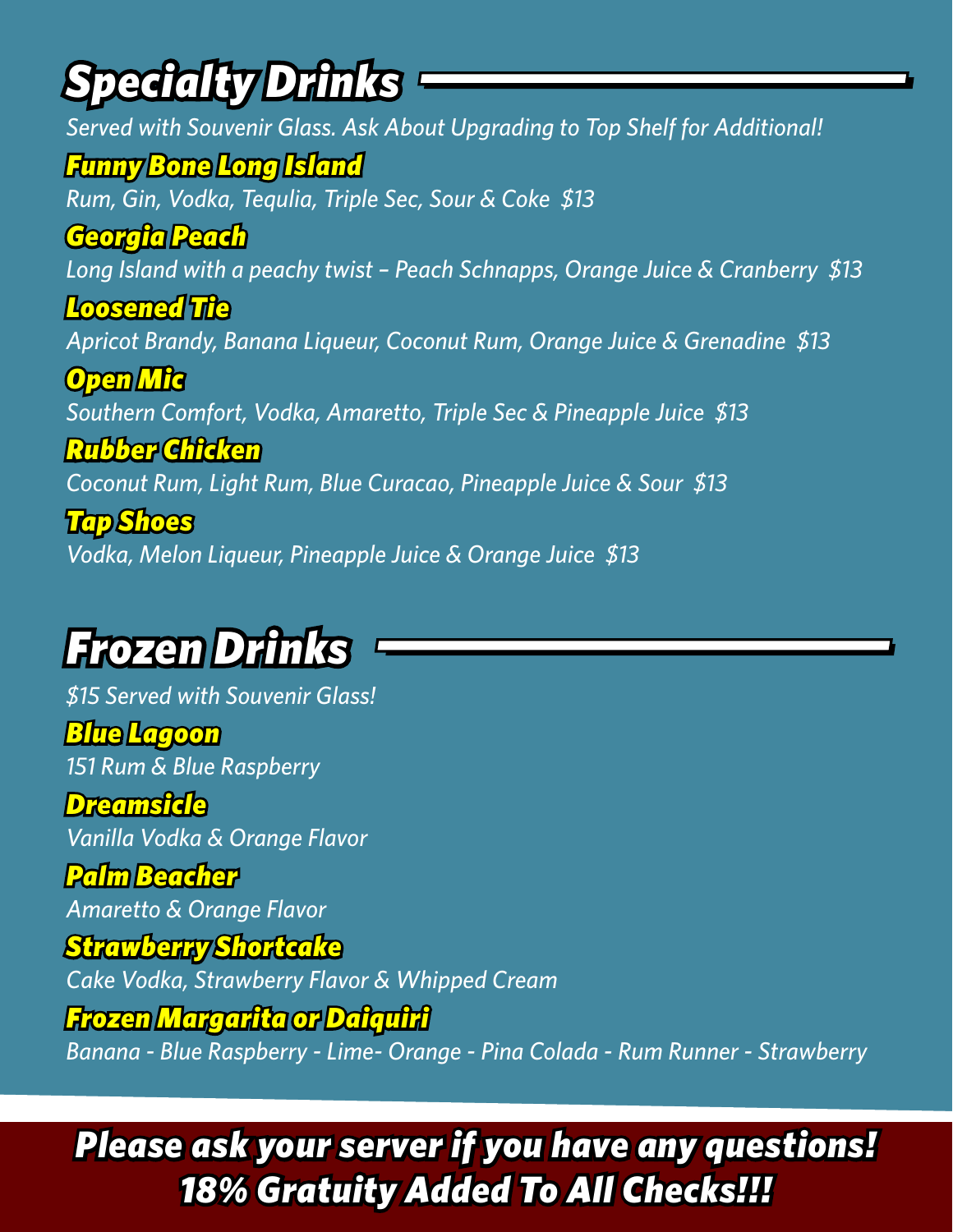## *Specialty Drinks*

*Served with Souvenir Glass. Ask About Upgrading to Top Shelf for Additional! Funny Bone Long Island Rum, Gin, Vodka, Tequlia, Triple Sec, Sour & Coke \$13 Georgia Peach Long Island with a peachy twist – Peach Schnapps, Orange Juice & Cranberry \$13 Loosened Tie Apricot Brandy, Banana Liqueur, Coconut Rum, Orange Juice & Grenadine \$13 Open Mic Southern Comfort, Vodka, Amaretto, Triple Sec & Pineapple Juice \$13 Rubber Chicken Coconut Rum, Light Rum, Blue Curacao, Pineapple Juice & Sour \$13 Tap Shoes Vodka, Melon Liqueur, Pineapple Juice & Orange Juice \$13*

### *Frozen Drinks*

*\$15 Served with Souvenir Glass! Blue Lagoon 151 Rum & Blue Raspberry*

*Dreamsicle Vanilla Vodka & Orange Flavor*

*Palm Beacher Amaretto & Orange Flavor*

*Strawberry Shortcake Cake Vodka, Strawberry Flavor & Whipped Cream*

*Frozen Margarita or Daiquiri*

*Banana - Blue Raspberry - Lime- Orange - Pina Colada - Rum Runner - Strawberry*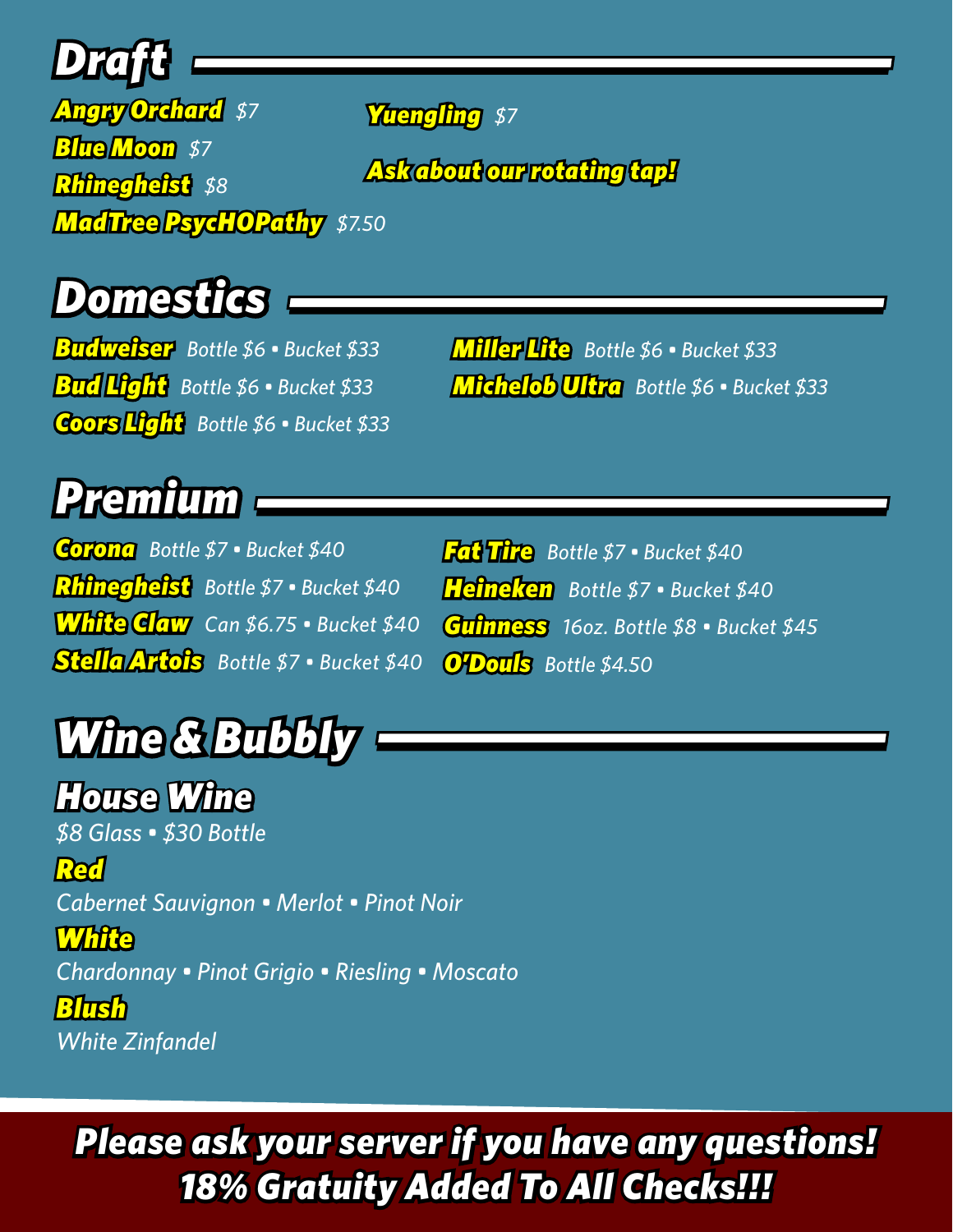## *Draft*

*Angry Orchard \$7 Blue Moon \$7 Rhinegheist \$8 MadTree PsycHOPathy \$7.50*

*Yuengling \$7*

*Ask about our rotating tap!*

### *Domestics*

*Budweiser Bottle \$6 • Bucket \$33 Bud Light Bottle \$6 • Bucket \$33 Coors Light Bottle \$6 • Bucket \$33* *Miller Lite Bottle \$6 • Bucket \$33 Michelob Ultra Bottle \$6 • Bucket \$33*

## *Premium*

*Corona Bottle \$7 • Bucket \$40 Rhinegheist Bottle \$7 • Bucket \$40 White Claw Can \$6.75 • Bucket \$40 Stella Artois Bottle \$7 • Bucket \$40*

*Fat Tire Bottle \$7 • Bucket \$40 Heineken Bottle \$7 • Bucket \$40 Guinness 16oz. Bottle \$8 • Bucket \$45 O'Douls Bottle \$4.50* 

## *Wine & Bubbly*

*House Wine \$8 Glass • \$30 Bottle Red Cabernet Sauvignon • Merlot • Pinot Noir White*

*Chardonnay • Pinot Grigio • Riesling • Moscato*

*Blush White Zinfandel*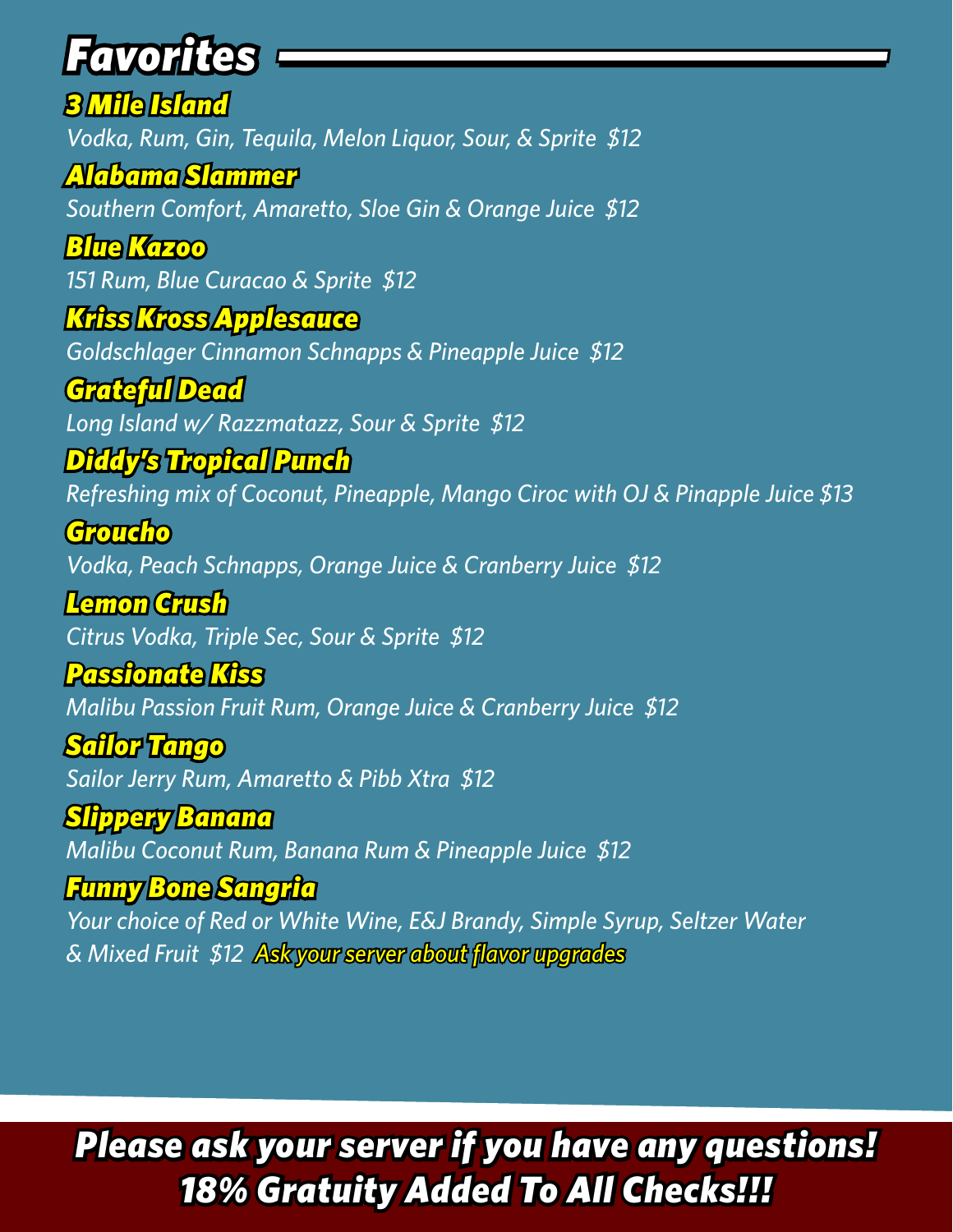## *Favorites*

*3 Mile Island Vodka, Rum, Gin, Tequila, Melon Liquor, Sour, & Sprite \$12*

*Alabama Slammer Southern Comfort, Amaretto, Sloe Gin & Orange Juice \$12*

*Blue Kazoo 151 Rum, Blue Curacao & Sprite \$12*

*Kriss Kross Applesauce Goldschlager Cinnamon Schnapps & Pineapple Juice \$12*

*Grateful Dead Long Island w/ Razzmatazz, Sour & Sprite \$12*

*Diddy's Tropical Punch Refreshing mix of Coconut, Pineapple, Mango Ciroc with OJ & Pinapple Juice \$13*

*Groucho Vodka, Peach Schnapps, Orange Juice & Cranberry Juice \$12*

*Lemon Crush Citrus Vodka, Triple Sec, Sour & Sprite \$12*

*Passionate Kiss Malibu Passion Fruit Rum, Orange Juice & Cranberry Juice \$12*

*Sailor Tango Sailor Jerry Rum, Amaretto & Pibb Xtra \$12*

*Slippery Banana Malibu Coconut Rum, Banana Rum & Pineapple Juice \$12*

*Funny Bone Sangria Your choice of Red or White Wine, E&J Brandy, Simple Syrup, Seltzer Water & Mixed Fruit \$12 Ask your server about flavor upgrades*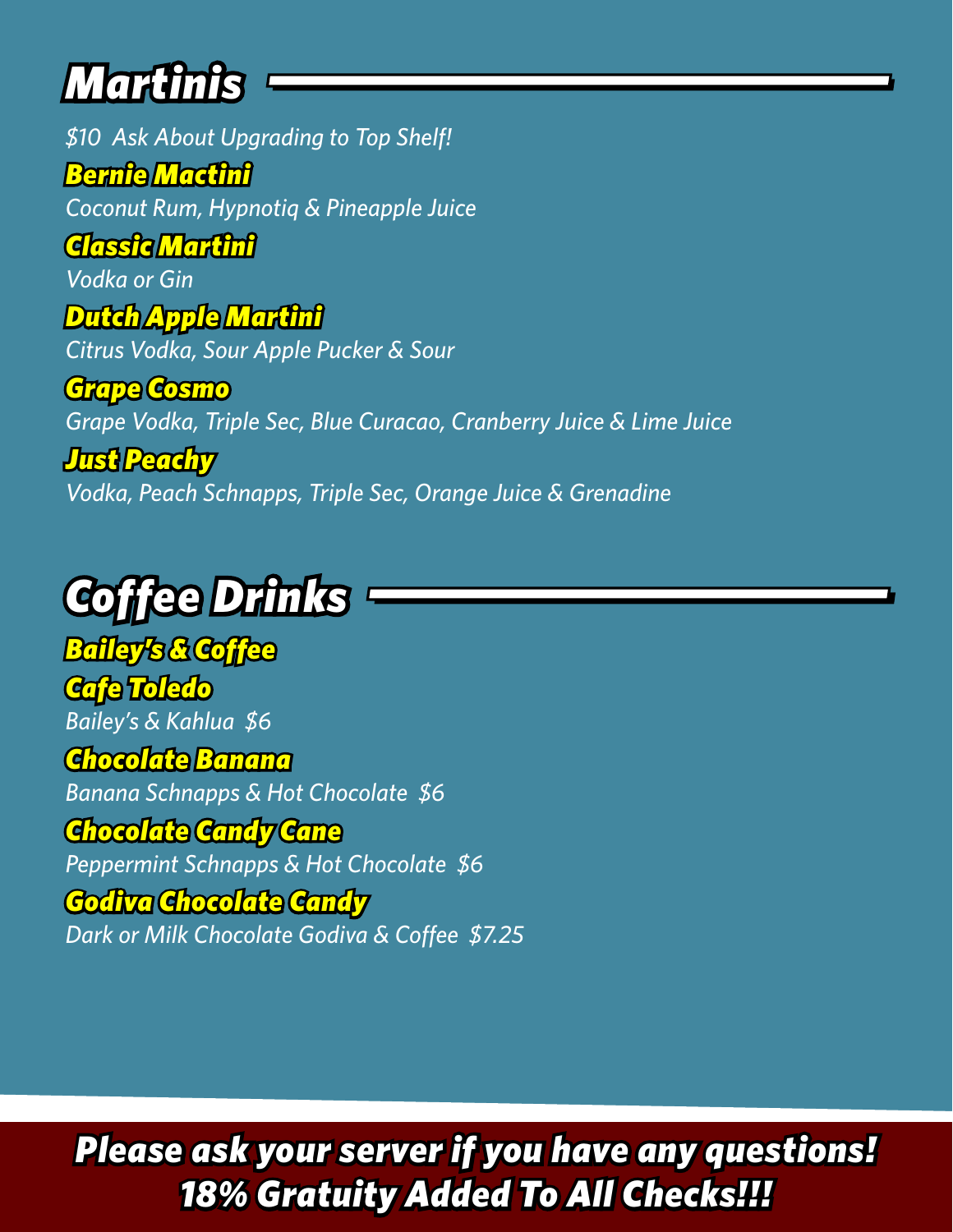## *Martinis*

*\$10 Ask About Upgrading to Top Shelf!*

*Bernie Mactini Coconut Rum, Hypnotiq & Pineapple Juice*

*Classic Martini*

*Vodka or Gin*

*Dutch Apple Martini*

*Citrus Vodka, Sour Apple Pucker & Sour*

*Grape Cosmo Grape Vodka, Triple Sec, Blue Curacao, Cranberry Juice & Lime Juice*

*Just Peachy Vodka, Peach Schnapps, Triple Sec, Orange Juice & Grenadine*

# *Coffee Drinks*

*Bailey's & Coffee Cafe Toledo Bailey's & Kahlua \$6 Chocolate Banana Banana Schnapps & Hot Chocolate \$6 Chocolate Candy Cane Peppermint Schnapps & Hot Chocolate \$6*

#### *Godiva Chocolate Candy Dark or Milk Chocolate Godiva & Coffee \$7.25*